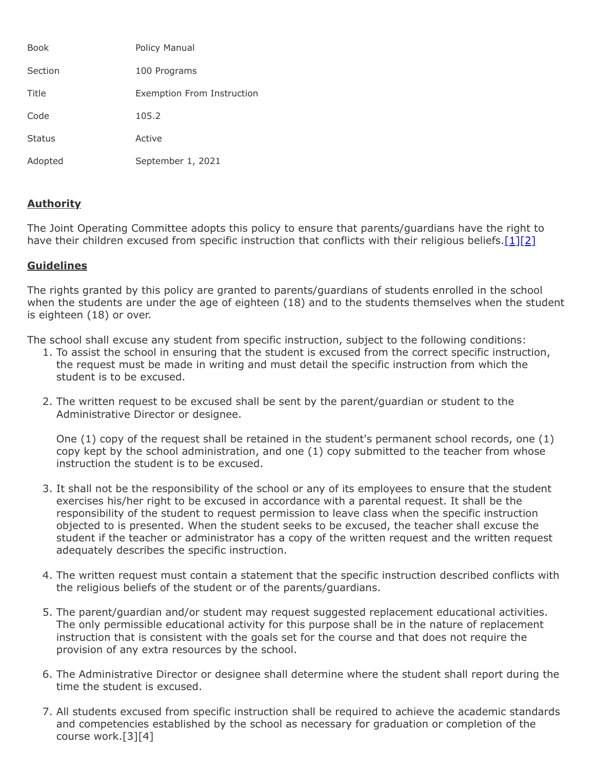| <b>Book</b>   | Policy Manual              |
|---------------|----------------------------|
| Section       | 100 Programs               |
| Title         | Exemption From Instruction |
| Code          | 105.2                      |
| <b>Status</b> | Active                     |
| Adopted       | September 1, 2021          |

## **Authority**

The Joint Operating Committee adopts this policy to ensure that parents/guardians have the right to have their children excused from specific instruction that conflicts with their religious beliefs. $[1][2]$  $[1][2]$ 

## **Guidelines**

The rights granted by this policy are granted to parents/guardians of students enrolled in the school when the students are under the age of eighteen (18) and to the students themselves when the student is eighteen (18) or over.

The school shall excuse any student from specific instruction, subject to the following conditions:

- 1. To assist the school in ensuring that the student is excused from the correct specific instruction, the request must be made in writing and must detail the specific instruction from which the student is to be excused.
- 2. The written request to be excused shall be sent by the parent/guardian or student to the Administrative Director or designee.

One (1) copy of the request shall be retained in the student's permanent school records, one (1) copy kept by the school administration, and one (1) copy submitted to the teacher from whose instruction the student is to be excused.

- 3. It shall not be the responsibility of the school or any of its employees to ensure that the student exercises his/her right to be excused in accordance with a parental request. It shall be the responsibility of the student to request permission to leave class when the specific instruction objected to is presented. When the student seeks to be excused, the teacher shall excuse the student if the teacher or administrator has a copy of the written request and the written request adequately describes the specific instruction.
- 4. The written request must contain a statement that the specific instruction described conflicts with the religious beliefs of the student or of the parents/guardians.
- 5. The parent/guardian and/or student may request suggested replacement educational activities. The only permissible educational activity for this purpose shall be in the nature of replacement instruction that is consistent with the goals set for the course and that does not require the provision of any extra resources by the school.
- 6. The Administrative Director or designee shall determine where the student shall report during the time the student is excused.
- 7. All students excused from specific instruction shall be required to achieve the academic standards and competencies established by the school as necessary for graduation or completion of the course work.[3][4]